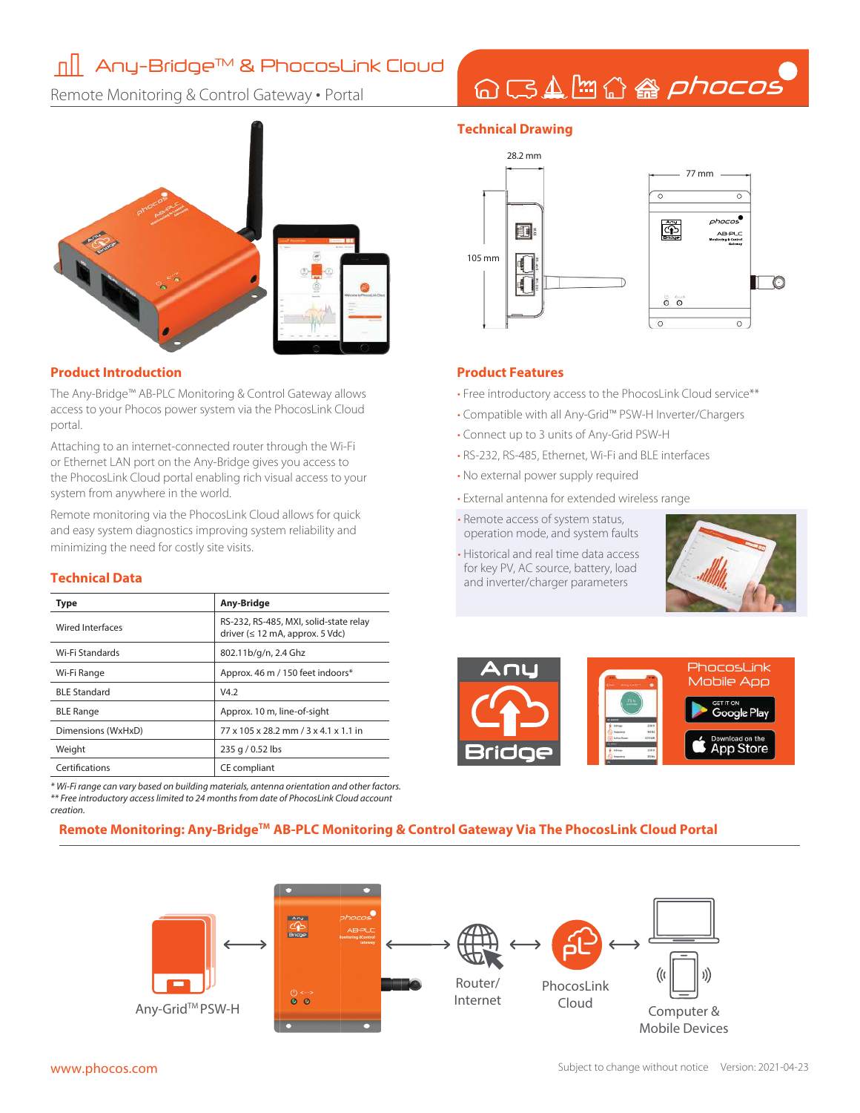## ∏ || Any-Bridge™ & PhocosLink Cloud

Remote Monitoring & Control Gateway • Portal

### **Technical Drawing**



QBAH公备phocos

- Free introductory access to the PhocosLink Cloud service\*\*
- Compatible with all Any-Grid™ PSW-H Inverter/Chargers
- Connect up to 3 units of Any-Grid PSW-H
- RS-232, RS-485, Ethernet, Wi-Fi and BLE interfaces
- No external power supply required
- External antenna for extended wireless range
- Remote access of system status, operation mode, and system faults
- Historical and real time data access for key PV, AC source, battery, load and inverter/charger parameters





### **Remote Monitoring: Any-BridgeTM AB-PLC Monitoring & Control Gateway Via The PhocosLink Cloud Portal**





### **Product Introduction Product Features**

The Any-Bridge™ AB-PLC Monitoring & Control Gateway allows access to your Phocos power system via the PhocosLink Cloud portal.

Attaching to an internet-connected router through the Wi-Fi or Ethernet LAN port on the Any-Bridge gives you access to the PhocosLink Cloud portal enabling rich visual access to your system from anywhere in the world.

Remote monitoring via the PhocosLink Cloud allows for quick and easy system diagnostics improving system reliability and minimizing the need for costly site visits.

### **Technical Data**

| Type                | Any-Bridge                                                                              |
|---------------------|-----------------------------------------------------------------------------------------|
| Wired Interfaces    | RS-232, RS-485, MXI, solid-state relay<br>driver $(\leq 12 \text{ mA}$ , approx. 5 Vdc) |
| Wi-Fi Standards     | 802.11b/g/n, 2.4 Ghz                                                                    |
| Wi-Fi Range         | Approx. 46 m / 150 feet indoors*                                                        |
| <b>BLE Standard</b> | V4.2                                                                                    |
| <b>BLE Range</b>    | Approx. 10 m, line-of-sight                                                             |
| Dimensions (WxHxD)  | 77 x 105 x 28.2 mm / 3 x 4.1 x 1.1 in                                                   |
| Weight              | 235 g / 0.52 lbs                                                                        |
| Certifications      | CE compliant                                                                            |

\* Wi-Fi range can vary based on building materials, antenna orientation and other factors. \*\* Free introductory access limited to 24 months from date of PhocosLink Cloud account creation.